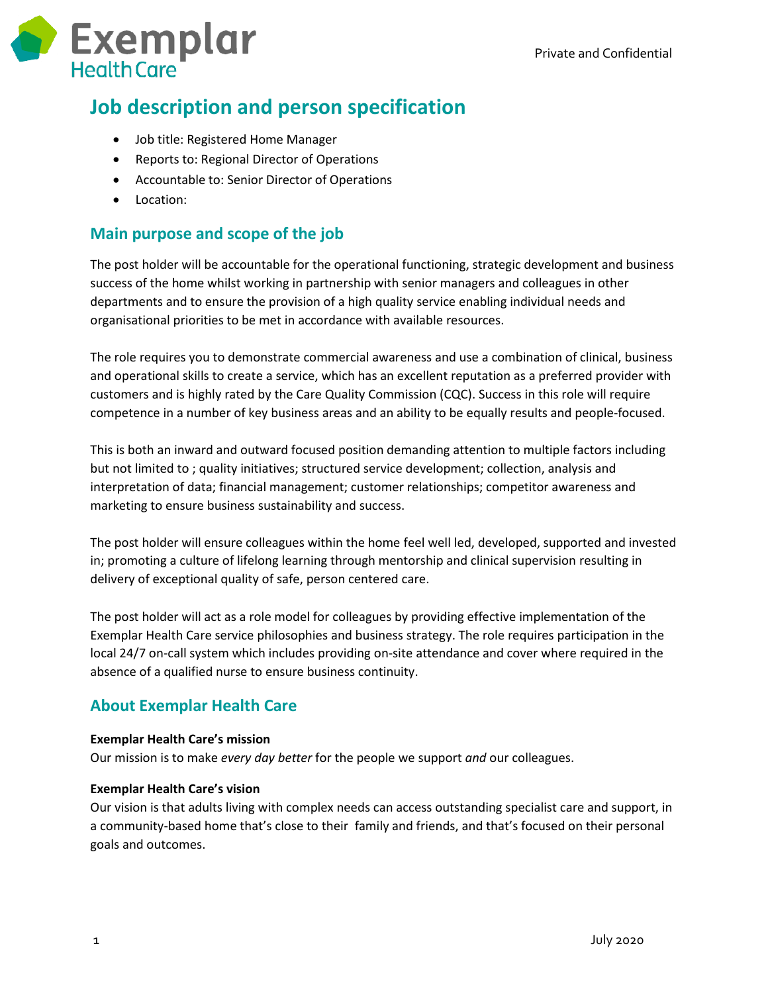

## **Job description and person specification**

- Job title: Registered Home Manager
- Reports to: Regional Director of Operations
- Accountable to: Senior Director of Operations
- Location:

## **Main purpose and scope of the job**

The post holder will be accountable for the operational functioning, strategic development and business success of the home whilst working in partnership with senior managers and colleagues in other departments and to ensure the provision of a high quality service enabling individual needs and organisational priorities to be met in accordance with available resources.

The role requires you to demonstrate commercial awareness and use a combination of clinical, business and operational skills to create a service, which has an excellent reputation as a preferred provider with customers and is highly rated by the Care Quality Commission (CQC). Success in this role will require competence in a number of key business areas and an ability to be equally results and people-focused.

This is both an inward and outward focused position demanding attention to multiple factors including but not limited to ; quality initiatives; structured service development; collection, analysis and interpretation of data; financial management; customer relationships; competitor awareness and marketing to ensure business sustainability and success.

The post holder will ensure colleagues within the home feel well led, developed, supported and invested in; promoting a culture of lifelong learning through mentorship and clinical supervision resulting in delivery of exceptional quality of safe, person centered care.

The post holder will act as a role model for colleagues by providing effective implementation of the Exemplar Health Care service philosophies and business strategy. The role requires participation in the local 24/7 on-call system which includes providing on-site attendance and cover where required in the absence of a qualified nurse to ensure business continuity.

### **About Exemplar Health Care**

#### **Exemplar Health Care's mission**

Our mission is to make *every day better* for the people we support *and* our colleagues.

#### **Exemplar Health Care's vision**

Our vision is that adults living with complex needs can access outstanding specialist care and support, in a community-based home that's close to their family and friends, and that's focused on their personal goals and outcomes.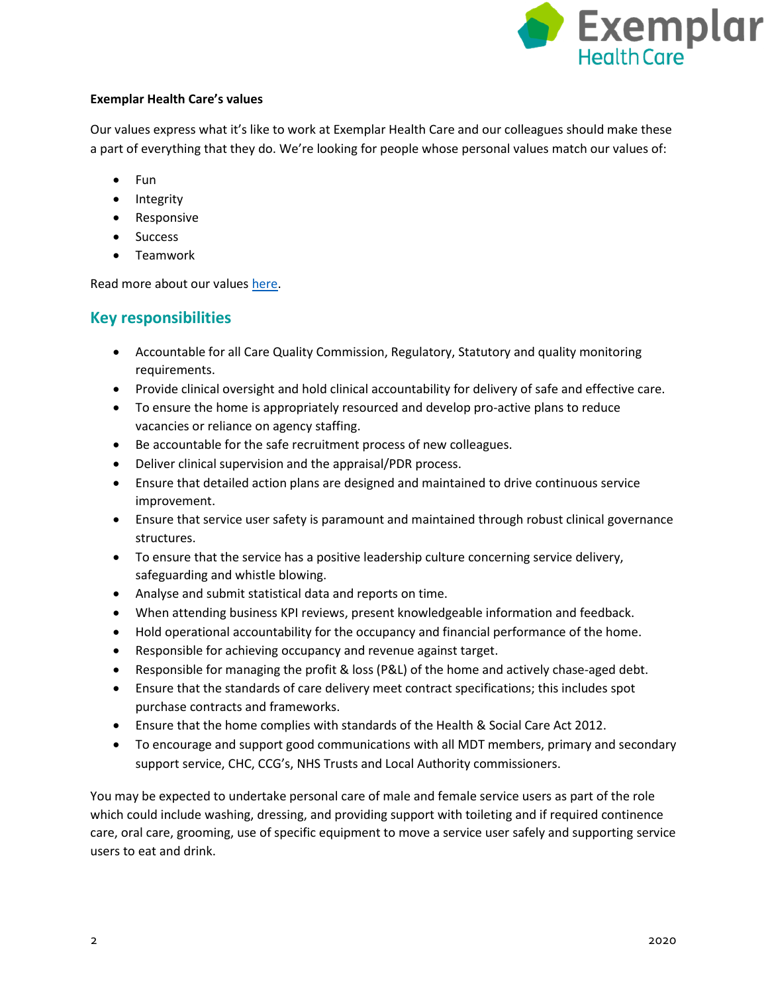

#### **Exemplar Health Care's values**

Our values express what it's like to work at Exemplar Health Care and our colleagues should make these a part of everything that they do. We're looking for people whose personal values match our values of:

- Fun
- Integrity
- Responsive
- Success
- Teamwork

Read more about our values [here.](https://www.exemplarhc.com/about-us/our-values)

## **Key responsibilities**

- Accountable for all Care Quality Commission, Regulatory, Statutory and quality monitoring requirements.
- Provide clinical oversight and hold clinical accountability for delivery of safe and effective care.
- To ensure the home is appropriately resourced and develop pro-active plans to reduce vacancies or reliance on agency staffing.
- Be accountable for the safe recruitment process of new colleagues.
- Deliver clinical supervision and the appraisal/PDR process.
- Ensure that detailed action plans are designed and maintained to drive continuous service improvement.
- Ensure that service user safety is paramount and maintained through robust clinical governance structures.
- To ensure that the service has a positive leadership culture concerning service delivery, safeguarding and whistle blowing.
- Analyse and submit statistical data and reports on time.
- When attending business KPI reviews, present knowledgeable information and feedback.
- Hold operational accountability for the occupancy and financial performance of the home.
- Responsible for achieving occupancy and revenue against target.
- Responsible for managing the profit & loss (P&L) of the home and actively chase-aged debt.
- Ensure that the standards of care delivery meet contract specifications; this includes spot purchase contracts and frameworks.
- Ensure that the home complies with standards of the Health & Social Care Act 2012.
- To encourage and support good communications with all MDT members, primary and secondary support service, CHC, CCG's, NHS Trusts and Local Authority commissioners.

You may be expected to undertake personal care of male and female service users as part of the role which could include washing, dressing, and providing support with toileting and if required continence care, oral care, grooming, use of specific equipment to move a service user safely and supporting service users to eat and drink.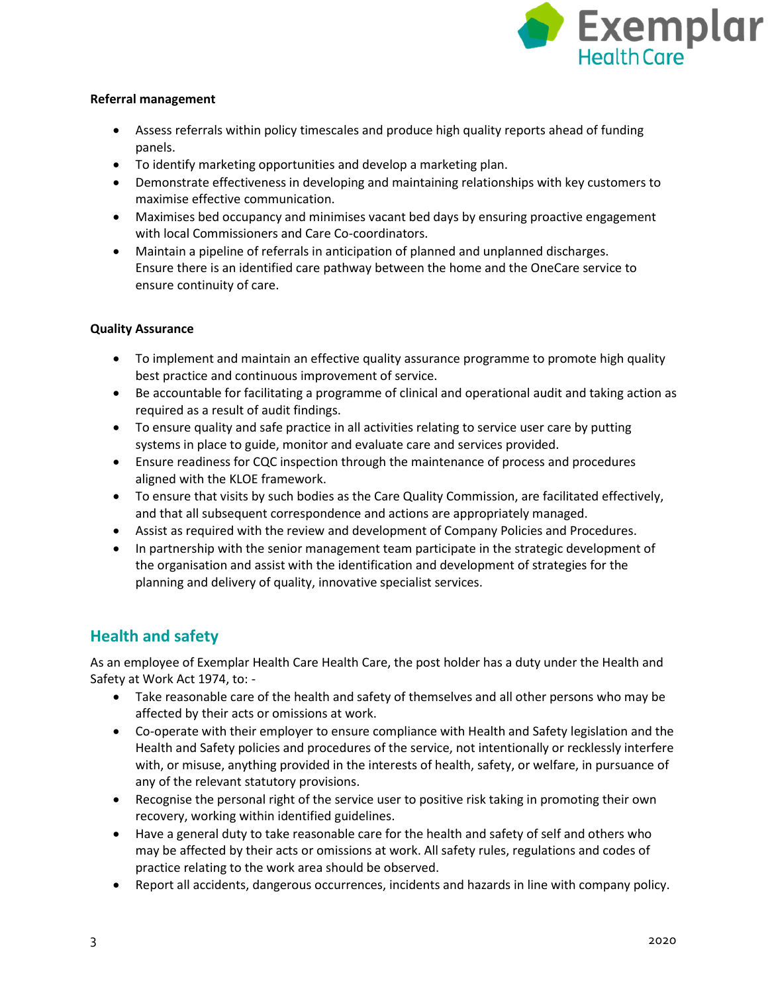

#### **Referral management**

- Assess referrals within policy timescales and produce high quality reports ahead of funding panels.
- To identify marketing opportunities and develop a marketing plan.
- Demonstrate effectiveness in developing and maintaining relationships with key customers to maximise effective communication.
- Maximises bed occupancy and minimises vacant bed days by ensuring proactive engagement with local Commissioners and Care Co-coordinators.
- Maintain a pipeline of referrals in anticipation of planned and unplanned discharges. Ensure there is an identified care pathway between the home and the OneCare service to ensure continuity of care.

#### **Quality Assurance**

- To implement and maintain an effective quality assurance programme to promote high quality best practice and continuous improvement of service.
- Be accountable for facilitating a programme of clinical and operational audit and taking action as required as a result of audit findings.
- To ensure quality and safe practice in all activities relating to service user care by putting systems in place to guide, monitor and evaluate care and services provided.
- Ensure readiness for CQC inspection through the maintenance of process and procedures aligned with the KLOE framework.
- To ensure that visits by such bodies as the Care Quality Commission, are facilitated effectively, and that all subsequent correspondence and actions are appropriately managed.
- Assist as required with the review and development of Company Policies and Procedures.
- In partnership with the senior management team participate in the strategic development of the organisation and assist with the identification and development of strategies for the planning and delivery of quality, innovative specialist services.

## **Health and safety**

As an employee of Exemplar Health Care Health Care, the post holder has a duty under the Health and Safety at Work Act 1974, to: -

- Take reasonable care of the health and safety of themselves and all other persons who may be affected by their acts or omissions at work.
- Co-operate with their employer to ensure compliance with Health and Safety legislation and the Health and Safety policies and procedures of the service, not intentionally or recklessly interfere with, or misuse, anything provided in the interests of health, safety, or welfare, in pursuance of any of the relevant statutory provisions.
- Recognise the personal right of the service user to positive risk taking in promoting their own recovery, working within identified guidelines.
- Have a general duty to take reasonable care for the health and safety of self and others who may be affected by their acts or omissions at work. All safety rules, regulations and codes of practice relating to the work area should be observed.
- Report all accidents, dangerous occurrences, incidents and hazards in line with company policy.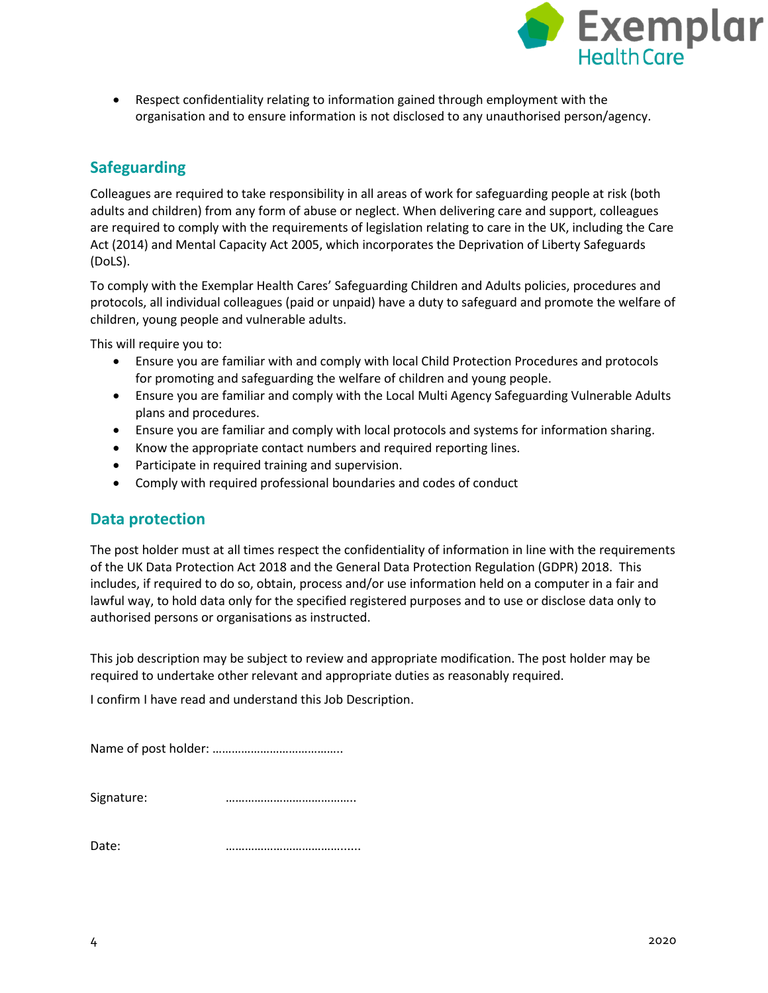

 Respect confidentiality relating to information gained through employment with the organisation and to ensure information is not disclosed to any unauthorised person/agency.

## **Safeguarding**

Colleagues are required to take responsibility in all areas of work for safeguarding people at risk (both adults and children) from any form of abuse or neglect. When delivering care and support, colleagues are required to comply with the requirements of legislation relating to care in the UK, including the Care Act (2014) and Mental Capacity Act 2005, which incorporates the Deprivation of Liberty Safeguards (DoLS).

To comply with the Exemplar Health Cares' Safeguarding Children and Adults policies, procedures and protocols, all individual colleagues (paid or unpaid) have a duty to safeguard and promote the welfare of children, young people and vulnerable adults.

This will require you to:

- Ensure you are familiar with and comply with local Child Protection Procedures and protocols for promoting and safeguarding the welfare of children and young people.
- Ensure you are familiar and comply with the Local Multi Agency Safeguarding Vulnerable Adults plans and procedures.
- Ensure you are familiar and comply with local protocols and systems for information sharing.
- Know the appropriate contact numbers and required reporting lines.
- Participate in required training and supervision.
- Comply with required professional boundaries and codes of conduct

#### **Data protection**

The post holder must at all times respect the confidentiality of information in line with the requirements of the UK Data Protection Act 2018 and the General Data Protection Regulation (GDPR) 2018. This includes, if required to do so, obtain, process and/or use information held on a computer in a fair and lawful way, to hold data only for the specified registered purposes and to use or disclose data only to authorised persons or organisations as instructed.

This job description may be subject to review and appropriate modification. The post holder may be required to undertake other relevant and appropriate duties as reasonably required.

I confirm I have read and understand this Job Description.

Name of post holder: …………………………………..

| Signature: |  |
|------------|--|

Date: <u>…………………………………………</u>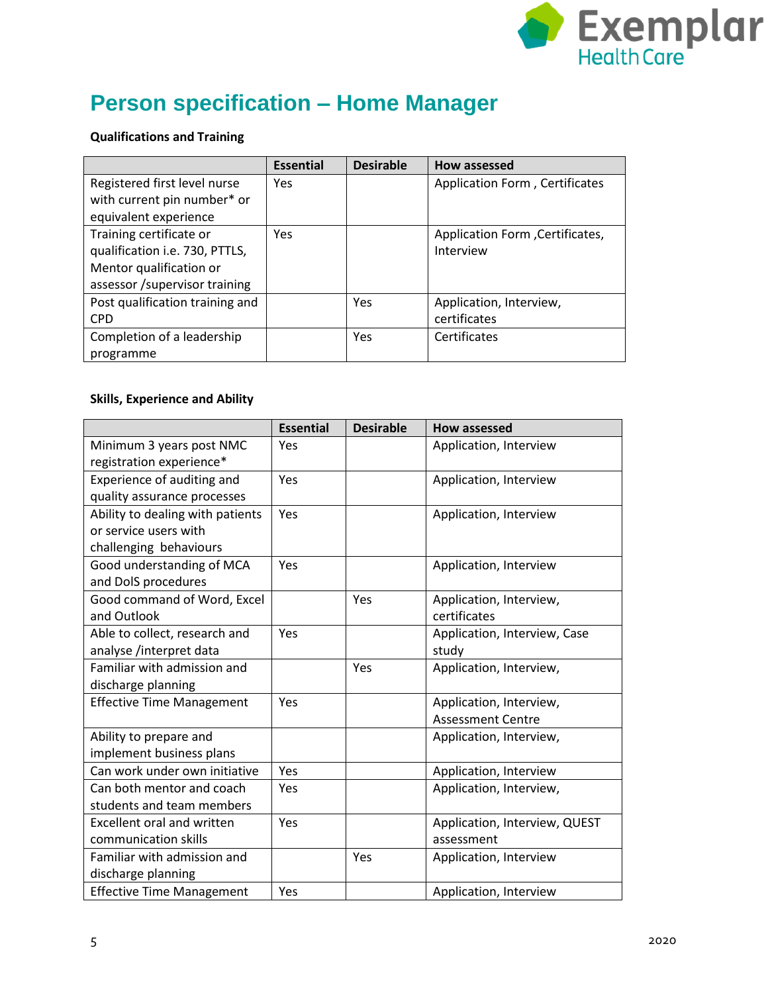

# **Person specification – Home Manager**

#### **Qualifications and Training**

|                                 | <b>Essential</b> | <b>Desirable</b> | <b>How assessed</b>             |
|---------------------------------|------------------|------------------|---------------------------------|
| Registered first level nurse    | <b>Yes</b>       |                  | Application Form, Certificates  |
| with current pin number* or     |                  |                  |                                 |
| equivalent experience           |                  |                  |                                 |
| Training certificate or         | <b>Yes</b>       |                  | Application Form, Certificates, |
| qualification i.e. 730, PTTLS,  |                  |                  | Interview                       |
| Mentor qualification or         |                  |                  |                                 |
| assessor /supervisor training   |                  |                  |                                 |
| Post qualification training and |                  | Yes              | Application, Interview,         |
| <b>CPD</b>                      |                  |                  | certificates                    |
| Completion of a leadership      |                  | Yes              | Certificates                    |
| programme                       |                  |                  |                                 |

#### **Skills, Experience and Ability**

|                                   | <b>Essential</b> | <b>Desirable</b> | <b>How assessed</b>           |
|-----------------------------------|------------------|------------------|-------------------------------|
| Minimum 3 years post NMC          | Yes              |                  | Application, Interview        |
| registration experience*          |                  |                  |                               |
| Experience of auditing and        | Yes              |                  | Application, Interview        |
| quality assurance processes       |                  |                  |                               |
| Ability to dealing with patients  | Yes              |                  | Application, Interview        |
| or service users with             |                  |                  |                               |
| challenging behaviours            |                  |                  |                               |
| Good understanding of MCA         | Yes              |                  | Application, Interview        |
| and DolS procedures               |                  |                  |                               |
| Good command of Word, Excel       |                  | Yes              | Application, Interview,       |
| and Outlook                       |                  |                  | certificates                  |
| Able to collect, research and     | Yes              |                  | Application, Interview, Case  |
| analyse /interpret data           |                  |                  | study                         |
| Familiar with admission and       |                  | Yes              | Application, Interview,       |
| discharge planning                |                  |                  |                               |
| <b>Effective Time Management</b>  | Yes              |                  | Application, Interview,       |
|                                   |                  |                  | <b>Assessment Centre</b>      |
| Ability to prepare and            |                  |                  | Application, Interview,       |
| implement business plans          |                  |                  |                               |
| Can work under own initiative     | Yes              |                  | Application, Interview        |
| Can both mentor and coach         | Yes              |                  | Application, Interview,       |
| students and team members         |                  |                  |                               |
| <b>Excellent oral and written</b> | Yes              |                  | Application, Interview, QUEST |
| communication skills              |                  |                  | assessment                    |
| Familiar with admission and       |                  | Yes              | Application, Interview        |
| discharge planning                |                  |                  |                               |
| <b>Effective Time Management</b>  | Yes              |                  | Application, Interview        |